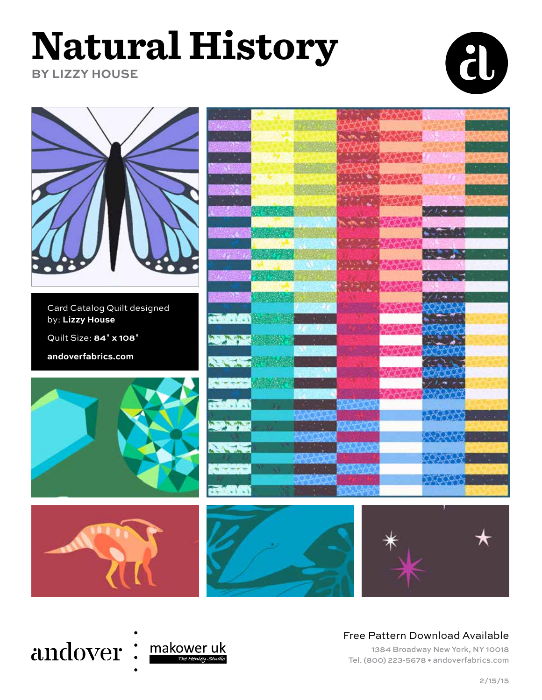# **Natural History**

**BY LIZZY HOUSE**





# andover: makower uk

#### Free Pattern Download Available

1384 Broadway New York, NY 10018 Tel. (800) 223-5678 • andoverfabrics.com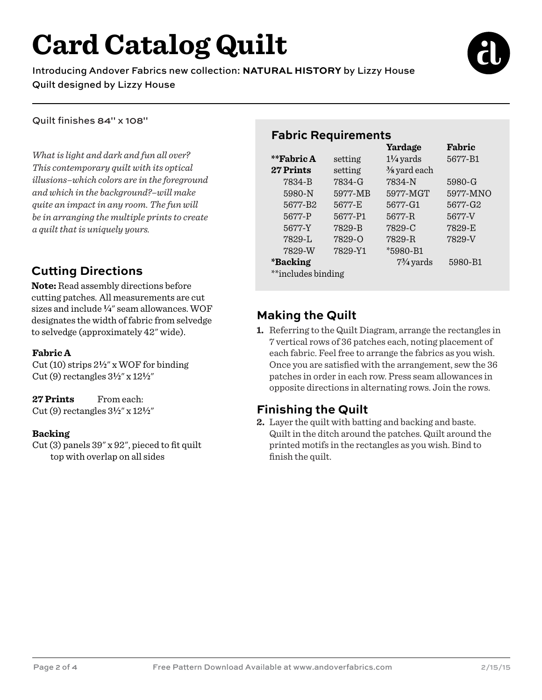# **Card Catalog Quilt**

Introducing Andover Fabrics new collection: **NATURAL HISTORY** by Lizzy House Quilt designed by Lizzy House



Quilt finishes 84" x 108"

*What is light and dark and fun all over? This contemporary quilt with its optical illusions–which colors are in the foreground and which in the background?–will make quite an impact in any room. The fun will be in arranging the multiple prints to create a quilt that is uniquely yours.* 

### **Cutting Directions**

**Note:** Read assembly directions before cutting patches. All measurements are cut sizes and include **4**" seam allowances. WOF designates the width of fabric from selvedge to selvedge (approximately 42" wide).

#### **Fabric A**

Cut (10) strips 2**2**" x WOF for binding Cut (9) rectangles 3**2**" x 12**2**"

#### **27 Prints** From each:

Cut (9) rectangles 3**2**" x 12**2**"

#### **Backing**

Cut (3) panels 39" x 92", pieced to fit quilt top with overlap on all sides

### **Fabric Requirements**

|                        |            | Yardage                 | Fabric   |
|------------------------|------------|-------------------------|----------|
| **Fabric A             | setting    | $1\frac{1}{4}$ yards    | 5677-B1  |
| 27 Prints              | setting    | $\frac{3}{8}$ yard each |          |
| 7834-B                 | 7834-G     | 7834-N                  | 5980-G   |
| 5980-N                 | 5977-MB    | 5977-MGT                | 5977-MNO |
| 5677-B2                | 5677-E     | 5677-G1                 | 5677-G2  |
| 5677-P                 | 5677-P1    | 5677-R                  | 5677-V   |
| 5677-Y                 | 7829-B     | 7829-C                  | 7829-E   |
| 7829-L                 | $7829 - 0$ | 7829-R                  | 7829-V   |
| 7829-W                 | 7829-Y1    | $*5980 - B1$            |          |
| <i><b>*Backing</b></i> |            | $7\frac{3}{4}$ yards    | 5980-B1  |
| **includes binding     |            |                         |          |

## **Making the Quilt**

**1.** Referring to the Quilt Diagram, arrange the rectangles in 7 vertical rows of 36 patches each, noting placement of each fabric. Feel free to arrange the fabrics as you wish. Once you are satisfied with the arrangement, sew the 36 patches in order in each row. Press seam allowances in opposite directions in alternating rows. Join the rows.

#### **Finishing the Quilt**

**2.** Layer the quilt with batting and backing and baste. Quilt in the ditch around the patches. Quilt around the printed motifs in the rectangles as you wish. Bind to finish the quilt.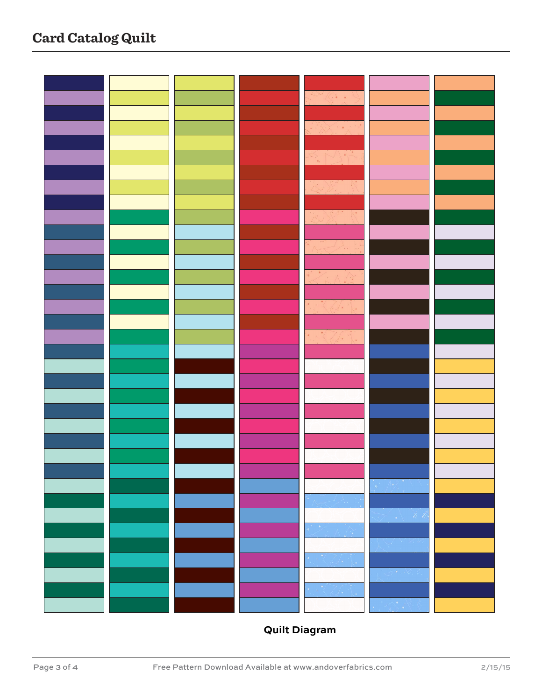

# **Quilt Diagram**